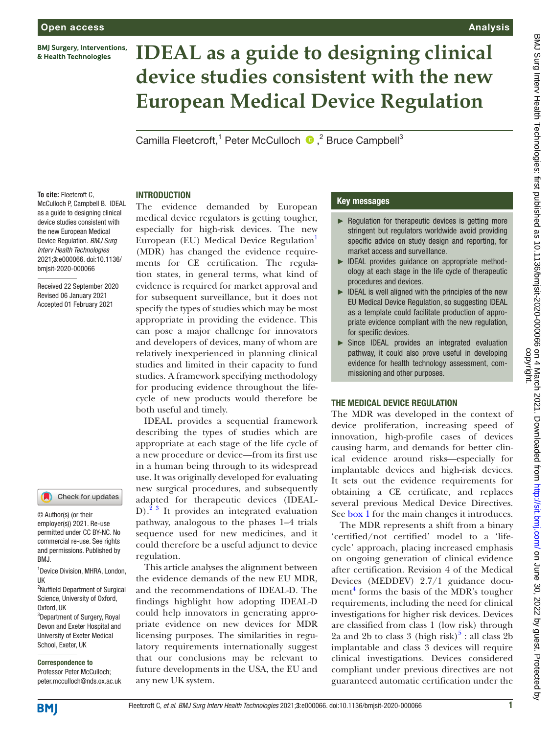**BMJ Surgery, Interventions,** & Health Technologies

# **IDEAL as a guide to designing clinical device studies consistent with the new European Medical Device Regulation**

Camilla Fleetcroft,<sup>1</sup> Peter McCulloch <sup>1</sup>,<sup>2</sup> Bruce Campbell<sup>3</sup>

#### **To cite:** Fleetcroft C,

McCulloch P, Campbell B. IDEAL as a guide to designing clinical device studies consistent with the new European Medical Device Regulation. *BMJ Surg Interv Health Technologies* 2021;3:e000066. doi:10.1136/ bmjsit-2020-000066

Received 22 September 2020 Revised 06 January 2021 Accepted 01 February 2021

#### Check for updates

© Author(s) (or their employer(s)) 2021. Re-use permitted under CC BY-NC. No commercial re-use. See rights and permissions. Published by BMJ.

1 Device Division, MHRA, London, UK

<sup>2</sup>Nuffield Department of Surgical Science, University of Oxford, Oxford, UK <sup>3</sup>Department of Surgery, Royal

Devon and Exeter Hospital and University of Exeter Medical School, Exeter, UK

#### Correspondence to

Professor Peter McCulloch; peter.mcculloch@nds.ox.ac.uk The evidence demanded by European medical device regulators is getting tougher, especially for high-risk devices. The new European (EU) Medical Device Regulation<sup>[1](#page-5-0)</sup> (MDR) has changed the evidence requirements for CE certification. The regulation states, in general terms, what kind of evidence is required for market approval and for subsequent surveillance, but it does not specify the types of studies which may be most appropriate in providing the evidence. This can pose a major challenge for innovators and developers of devices, many of whom are relatively inexperienced in planning clinical studies and limited in their capacity to fund studies. A framework specifying methodology for producing evidence throughout the lifecycle of new products would therefore be both useful and timely.

**INTRODUCTION** 

IDEAL provides a sequential framework describing the types of studies which are appropriate at each stage of the life cycle of a new procedure or device—from its first use in a human being through to its widespread use. It was originally developed for evaluating new surgical procedures, and subsequently adapted for therapeutic devices (IDEAL-D).<sup>2 3</sup> It provides an integrated evaluation pathway, analogous to the phases 1–4 trials sequence used for new medicines, and it could therefore be a useful adjunct to device regulation.

This article analyses the alignment between the evidence demands of the new EU MDR, and the recommendations of IDEAL-D. The findings highlight how adopting IDEAL-D could help innovators in generating appropriate evidence on new devices for MDR licensing purposes. The similarities in regulatory requirements internationally suggest that our conclusions may be relevant to future developments in the USA, the EU and any new UK system.

#### Key messages

► Regulation for therapeutic devices is getting more stringent but regulators worldwide avoid providing specific advice on study design and reporting, for market access and surveillance.

Analysis

- ► IDEAL provides guidance on appropriate methodology at each stage in the life cycle of therapeutic procedures and devices.
- ► IDEAL is well aligned with the principles of the new EU Medical Device Regulation, so suggesting IDEAL as a template could facilitate production of appropriate evidence compliant with the new regulation, for specific devices.
- ► Since IDEAL provides an integrated evaluation pathway, it could also prove useful in developing evidence for health technology assessment, commissioning and other purposes.

#### THE MEDICAL DEVICE REGULATION

The MDR was developed in the context of device proliferation, increasing speed of innovation, high-profile cases of devices causing harm, and demands for better clinical evidence around risks—especially for implantable devices and high-risk devices. It sets out the evidence requirements for obtaining a CE certificate, and replaces several previous Medical Device Directives. See [box](#page-1-0) 1 for the main changes it introduces.

The MDR represents a shift from a binary 'certified/not certified' model to a 'lifecycle' approach, placing increased emphasis on ongoing generation of clinical evidence after certification. Revision 4 of the Medical Devices (MEDDEV) 2.7/1 guidance document<sup>4</sup> forms the basis of the MDR's tougher requirements, including the need for clinical investigations for higher risk devices. Devices are classified from class 1 (low risk) through 2a and 2b to class 3 (high risk) $5$ : all class 2b implantable and class 3 devices will require clinical investigations. Devices considered compliant under previous directives are not guaranteed automatic certification under the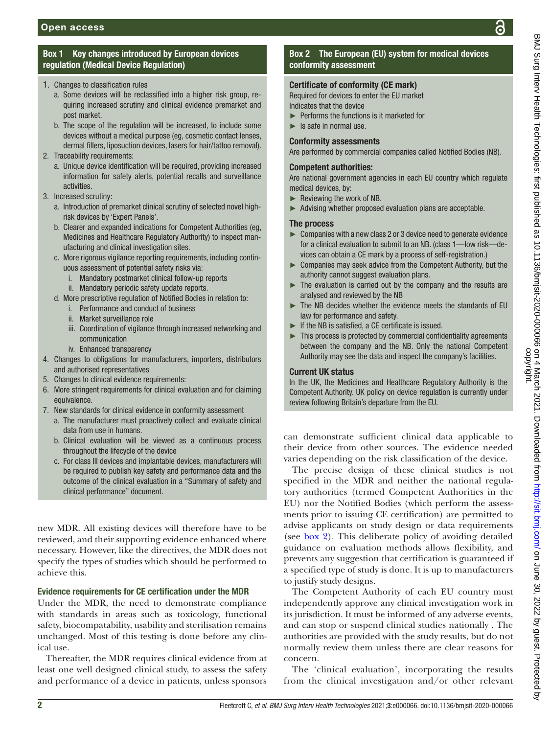# Box 1 Key changes introduced by European devices regulation (Medical Device Regulation)

- <span id="page-1-0"></span>1. Changes to classification rules
	- a. Some devices will be reclassified into a higher risk group, requiring increased scrutiny and clinical evidence premarket and post market.
	- b. The scope of the regulation will be increased, to include some devices without a medical purpose (eg, cosmetic contact lenses, dermal fillers, liposuction devices, lasers for hair/tattoo removal).
- 2. Traceability requirements:
	- a. Unique device identification will be required, providing increased information for safety alerts, potential recalls and surveillance activities.
- 3. Increased scrutiny:
	- a. Introduction of premarket clinical scrutiny of selected novel highrisk devices by 'Expert Panels'.
	- b. Clearer and expanded indications for Competent Authorities (eg, Medicines and Healthcare Regulatory Authority) to inspect manufacturing and clinical investigation sites.
	- c. More rigorous vigilance reporting requirements, including continuous assessment of potential safety risks via:
		- i. Mandatory postmarket clinical follow-up reports
		- ii. Mandatory periodic safety update reports.
	- d. More prescriptive regulation of Notified Bodies in relation to:
		- i. Performance and conduct of business
		- ii. Market surveillance role
		- iii. Coordination of vigilance through increased networking and communication
		- iv. Enhanced transparency
- 4. Changes to obligations for manufacturers, importers, distributors and authorised representatives
- 5. Changes to clinical evidence requirements:
- 6. More stringent requirements for clinical evaluation and for claiming equivalence.
- 7. New standards for clinical evidence in conformity assessment
	- a. The manufacturer must proactively collect and evaluate clinical data from use in humans.
	- b. Clinical evaluation will be viewed as a continuous process throughout the lifecycle of the device
	- c. For class III devices and implantable devices, manufacturers will be required to publish key safety and performance data and the outcome of the clinical evaluation in a "Summary of safety and clinical performance" document.

new MDR. All existing devices will therefore have to be reviewed, and their supporting evidence enhanced where necessary. However, like the directives, the MDR does not specify the types of studies which should be performed to achieve this.

# Evidence requirements for CE certification under the MDR

Under the MDR, the need to demonstrate compliance with standards in areas such as toxicology, functional safety, biocompatability, usability and sterilisation remains unchanged. Most of this testing is done before any clinical use.

Thereafter, the MDR requires clinical evidence from at least one well designed clinical study, to assess the safety and performance of a device in patients, unless sponsors

# Box 2 The European (EU) system for medical devices conformity assessment

# <span id="page-1-1"></span>Certificate of conformity (CE mark)

Required for devices to enter the EU market

- Indicates that the device
- ► Performs the functions is it marketed for
- $\blacktriangleright$  Is safe in normal use.

#### Conformity assessments

Are performed by commercial companies called Notified Bodies (NB).

#### Competent authorities:

Are national government agencies in each EU country which regulate medical devices, by:

- ► Reviewing the work of NB.
- ► Advising whether proposed evaluation plans are acceptable.

#### The process

- ► Companies with a new class 2 or 3 device need to generate evidence for a clinical evaluation to submit to an NB. (class 1—low risk—devices can obtain a CE mark by a process of self-registration.)
- ► Companies may seek advice from the Competent Authority, but the authority cannot suggest evaluation plans.
- ► The evaluation is carried out by the company and the results are analysed and reviewed by the NB
- ► The NB decides whether the evidence meets the standards of EU law for performance and safety.
- ► If the NB is satisfied, a CE certificate is issued.
- ► This process is protected by commercial confidentiality agreements between the company and the NB. Only the national Competent Authority may see the data and inspect the company's facilities.

#### Current UK status

In the UK, the Medicines and Healthcare Regulatory Authority is the Competent Authority. UK policy on device regulation is currently under review following Britain's departure from the EU.

can demonstrate sufficient clinical data applicable to their device from other sources. The evidence needed varies depending on the risk classification of the device.

The precise design of these clinical studies is not specified in the MDR and neither the national regulatory authorities (termed Competent Authorities in the EU) nor the Notified Bodies (which perform the assessments prior to issuing CE certification) are permitted to advise applicants on study design or data requirements (see [box](#page-1-1) 2). This deliberate policy of avoiding detailed guidance on evaluation methods allows flexibility, and prevents any suggestion that certification is guaranteed if a specified type of study is done. It is up to manufacturers to justify study designs.

The Competent Authority of each EU country must independently approve any clinical investigation work in its jurisdiction. It must be informed of any adverse events, and can stop or suspend clinical studies nationally . The authorities are provided with the study results, but do not normally review them unless there are clear reasons for concern.

The 'clinical evaluation', incorporating the results from the clinical investigation and/or other relevant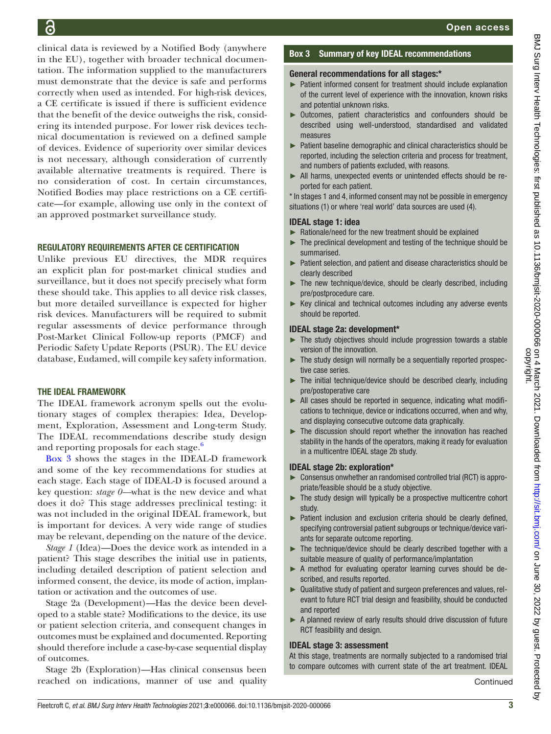clinical data is reviewed by a Notified Body (anywhere in the EU), together with broader technical documentation. The information supplied to the manufacturers must demonstrate that the device is safe and performs correctly when used as intended. For high-risk devices, a CE certificate is issued if there is sufficient evidence that the benefit of the device outweighs the risk, considering its intended purpose. For lower risk devices technical documentation is reviewed on a defined sample of devices. Evidence of superiority over similar devices is not necessary, although consideration of currently available alternative treatments is required. There is no consideration of cost. In certain circumstances, Notified Bodies may place restrictions on a CE certificate—for example, allowing use only in the context of an approved postmarket surveillance study.

#### REGULATORY REQUIREMENTS AFTER CE CERTIFICATION

Unlike previous EU directives, the MDR requires an explicit plan for post-market clinical studies and surveillance, but it does not specify precisely what form these should take. This applies to all device risk classes, but more detailed surveillance is expected for higher risk devices. Manufacturers will be required to submit regular assessments of device performance through Post-Market Clinical Follow-up reports (PMCF) and Periodic Safety Update Reports (PSUR). The EU device database, Eudamed, will compile key safety information.

### THE IDEAL FRAMEWORK

The IDEAL framework acronym spells out the evolutionary stages of complex therapies: Idea, Development, Exploration, Assessment and Long-term Study. The IDEAL recommendations describe study design and reporting proposals for each stage.<sup>[6](#page-5-4)</sup>

[Box](#page-2-0) 3 shows the stages in the IDEAL-D framework and some of the key recommendations for studies at each stage. Each stage of IDEAL-D is focused around a key question: *stage 0—*what is the new device and what does it do? This stage addresses preclinical testing: it was not included in the original IDEAL framework, but is important for devices. A very wide range of studies may be relevant, depending on the nature of the device.

*Stage 1* (Idea)—Does the device work as intended in a patient? This stage describes the initial use in patients, including detailed description of patient selection and informed consent, the device, its mode of action, implantation or activation and the outcomes of use.

Stage 2a (Development)—Has the device been developed to a stable state? Modifications to the device, its use or patient selection criteria, and consequent changes in outcomes must be explained and documented. Reporting should therefore include a case-by-case sequential display of outcomes.

Stage 2b (Exploration)—Has clinical consensus been reached on indications, manner of use and quality

#### Box 3 Summary of key IDEAL recommendations

#### <span id="page-2-0"></span>General recommendations for all stages:\*

- ► Patient informed consent for treatment should include explanation of the current level of experience with the innovation, known risks and potential unknown risks.
- ► Outcomes, patient characteristics and confounders should be described using well-understood, standardised and validated measures
- ► Patient baseline demographic and clinical characteristics should be reported, including the selection criteria and process for treatment, and numbers of patients excluded, with reasons.
- ► All harms, unexpected events or unintended effects should be reported for each patient.

\* In stages 1 and 4, informed consent may not be possible in emergency situations (1) or where 'real world' data sources are used (4).

#### IDEAL stage 1: idea

- ► Rationale/need for the new treatment should be explained
- $\blacktriangleright$  The preclinical development and testing of the technique should be summarised.
- ► Patient selection, and patient and disease characteristics should be clearly described
- $\blacktriangleright$  The new technique/device, should be clearly described, including pre/postprocedure care.
- ► Key clinical and technical outcomes including any adverse events should be reported.

#### IDEAL stage 2a: development\*

- ► The study objectives should include progression towards a stable version of the innovation.
- ► The study design will normally be a sequentially reported prospective case series.
- ► The initial technique/device should be described clearly, including pre/postoperative care
- ► All cases should be reported in sequence, indicating what modifications to technique, device or indications occurred, when and why, and displaying consecutive outcome data graphically.
- ► The discussion should report whether the innovation has reached stability in the hands of the operators, making it ready for evaluation in a multicentre IDEAL stage 2b study.

#### IDEAL stage 2b: exploration\*

- ► Consensus onwhether an randomised controlled trial (RCT) is appropriate/feasible should be a study objective.
- ► The study design will typically be a prospective multicentre cohort study.
- ► Patient inclusion and exclusion criteria should be clearly defined, specifying controversial patient subgroups or technique/device variants for separate outcome reporting.
- ► The technique/device should be clearly described together with a suitable measure of quality of performance/implantation
- ► A method for evaluating operator learning curves should be described, and results reported.
- ► Qualitative study of patient and surgeon preferences and values, relevant to future RCT trial design and feasibility, should be conducted and reported
- ► A planned review of early results should drive discussion of future RCT feasibility and design.

#### IDEAL stage 3: assessment

At this stage, treatments are normally subjected to a randomised trial to compare outcomes with current state of the art treatment. IDEAL

**Continued**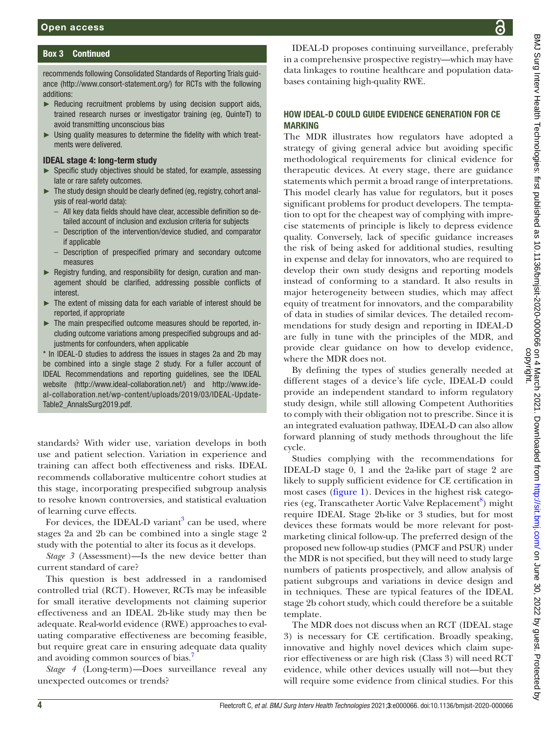## Box 3 Continued

recommends following Consolidated Standards of Reporting Trials guidance ([http://www.consort-statement.org/\)](http://www.consort-statement.org/) for RCTs with the following additions:

- ► Reducing recruitment problems by using decision support aids, trained research nurses or investigator training (eg, QuinteT) to avoid transmitting unconscious bias
- ► Using quality measures to determine the fidelity with which treatments were delivered.

#### IDEAL stage 4: long-term study

- ► Specific study objectives should be stated, for example, assessing late or rare safety outcomes.
- ► The study design should be clearly defined (eg, registry, cohort analysis of real-world data):
	- All key data fields should have clear, accessible definition so detailed account of inclusion and exclusion criteria for subjects
	- Description of the intervention/device studied, and comparator if applicable
	- Description of prespecified primary and secondary outcome measures
- ► Registry funding, and responsibility for design, curation and management should be clarified, addressing possible conflicts of interest.
- The extent of missing data for each variable of interest should be reported, if appropriate
- ► The main prespecified outcome measures should be reported, including outcome variations among prespecified subgroups and adjustments for confounders, when applicable

\* In IDEAL-D studies to address the issues in stages 2a and 2b may be combined into a single stage 2 study. For a fuller account of IDEAL Recommendations and reporting guidelines, see the IDEAL website ([http://www.ideal-collaboration.net/\)](http://www.ideal-collaboration.net/) and [http://www.ide](http://www.ideal-collaboration.net/wp-content/uploads/2019/03/IDEAL-Update-Table2_AnnalsSurg2019.pdf)[al-collaboration.net/wp-content/uploads/2019/03/IDEAL-Update-](http://www.ideal-collaboration.net/wp-content/uploads/2019/03/IDEAL-Update-Table2_AnnalsSurg2019.pdf)[Table2\\_AnnalsSurg2019.pdf.](http://www.ideal-collaboration.net/wp-content/uploads/2019/03/IDEAL-Update-Table2_AnnalsSurg2019.pdf)

standards? With wider use, variation develops in both use and patient selection. Variation in experience and training can affect both effectiveness and risks. IDEAL recommends collaborative multicentre cohort studies at this stage, incorporating prespecified subgroup analysis to resolve known controversies, and statistical evaluation of learning curve effects.

For devices, the IDEAL-D variant<sup>[3](#page-5-5)</sup> can be used, where stages 2a and 2b can be combined into a single stage 2 study with the potential to alter its focus as it develops.

*Stage 3* (Assessment)—Is the new device better than current standard of care?

This question is best addressed in a randomised controlled trial (RCT). However, RCTs may be infeasible for small iterative developments not claiming superior effectiveness and an IDEAL 2b-like study may then be adequate. Real-world evidence (RWE) approaches to evaluating comparative effectiveness are becoming feasible, but require great care in ensuring adequate data quality and avoiding common sources of bias.

*Stage 4* (Long-term)—Does surveillance reveal any unexpected outcomes or trends?

IDEAL-D proposes continuing surveillance, preferably in a comprehensive prospective registry—which may have data linkages to routine healthcare and population databases containing high-quality RWE.

#### HOW IDEAL-D COULD GUIDE EVIDENCE GENERATION FOR CE MARKING

The MDR illustrates how regulators have adopted a strategy of giving general advice but avoiding specific methodological requirements for clinical evidence for therapeutic devices. At every stage, there are guidance statements which permit a broad range of interpretations. This model clearly has value for regulators, but it poses significant problems for product developers. The temptation to opt for the cheapest way of complying with imprecise statements of principle is likely to depress evidence quality. Conversely, lack of specific guidance increases the risk of being asked for additional studies, resulting in expense and delay for innovators, who are required to develop their own study designs and reporting models instead of conforming to a standard. It also results in major heterogeneity between studies, which may affect equity of treatment for innovators, and the comparability of data in studies of similar devices. The detailed recommendations for study design and reporting in IDEAL-D are fully in tune with the principles of the MDR, and provide clear guidance on how to develop evidence, where the MDR does not.

By defining the types of studies generally needed at different stages of a device's life cycle, IDEAL-D could provide an independent standard to inform regulatory study design, while still allowing Competent Authorities to comply with their obligation not to prescribe. Since it is an integrated evaluation pathway, IDEAL-D can also allow forward planning of study methods throughout the life cycle.

Studies complying with the recommendations for IDEAL-D stage 0, 1 and the 2a-like part of stage 2 are likely to supply sufficient evidence for CE certification in most cases [\(figure](#page-4-0) 1). Devices in the highest risk catego-ries (eg, Transcatheter Aortic Valve Replacement<sup>[8](#page-5-7)</sup>) might require IDEAL Stage 2b-like or 3 studies, but for most devices these formats would be more relevant for postmarketing clinical follow-up. The preferred design of the proposed new follow-up studies (PMCF and PSUR) under the MDR is not specified, but they will need to study large numbers of patients prospectively, and allow analysis of patient subgroups and variations in device design and in techniques. These are typical features of the IDEAL stage 2b cohort study, which could therefore be a suitable template.

The MDR does not discuss when an RCT (IDEAL stage 3) is necessary for CE certification. Broadly speaking, innovative and highly novel devices which claim superior effectiveness or are high risk (Class 3) will need RCT evidence, while other devices usually will not—but they will require some evidence from clinical studies. For this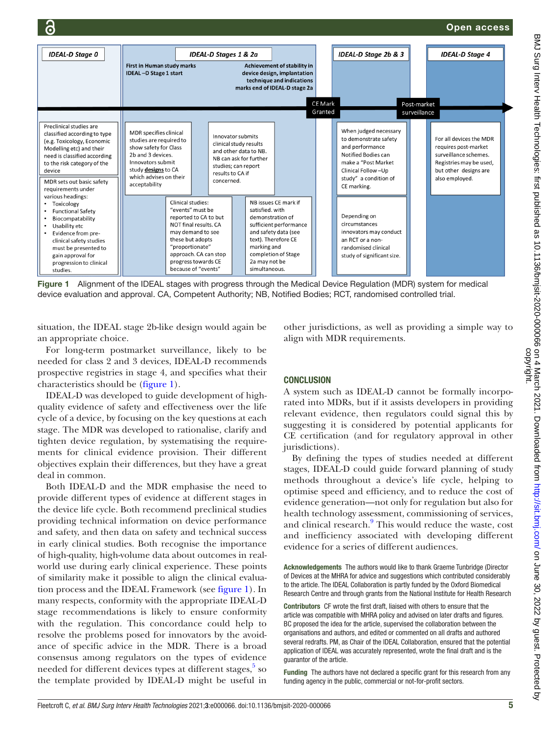Open access



<span id="page-4-0"></span>Figure 1 Alignment of the IDEAL stages with progress through the Medical Device Regulation (MDR) system for medical device evaluation and approval. CA, Competent Authority; NB, Notified Bodies; RCT, randomised controlled trial.

situation, the IDEAL stage 2b-like design would again be an appropriate choice.

For long-term postmarket surveillance, likely to be needed for class 2 and 3 devices, IDEAL-D recommends prospective registries in stage 4, and specifies what their characteristics should be [\(figure](#page-4-0) 1).

IDEAL-D was developed to guide development of highquality evidence of safety and effectiveness over the life cycle of a device, by focusing on the key questions at each stage. The MDR was developed to rationalise, clarify and tighten device regulation, by systematising the requirements for clinical evidence provision. Their different objectives explain their differences, but they have a great deal in common.

Both IDEAL-D and the MDR emphasise the need to provide different types of evidence at different stages in the device life cycle. Both recommend preclinical studies providing technical information on device performance and safety, and then data on safety and technical success in early clinical studies. Both recognise the importance of high-quality, high-volume data about outcomes in realworld use during early clinical experience. These points of similarity make it possible to align the clinical evaluation process and the IDEAL Framework (see [figure](#page-4-0) 1). In many respects, conformity with the appropriate IDEAL-D stage recommendations is likely to ensure conformity with the regulation. This concordance could help to resolve the problems posed for innovators by the avoidance of specific advice in the MDR. There is a broad consensus among regulators on the types of evidence needed for different devices types at different stages,<sup>[5](#page-5-3)</sup> so the template provided by IDEAL-D might be useful in

other jurisdictions, as well as providing a simple way to align with MDR requirements.

#### **CONCLUSION**

A system such as IDEAL-D cannot be formally incorporated into MDRs, but if it assists developers in providing relevant evidence, then regulators could signal this by suggesting it is considered by potential applicants for CE certification (and for regulatory approval in other jurisdictions).

By defining the types of studies needed at different stages, IDEAL-D could guide forward planning of study methods throughout a device's life cycle, helping to optimise speed and efficiency, and to reduce the cost of evidence generation—not only for regulation but also for health technology assessment, commissioning of services, and clinical research.<sup>[9](#page-5-8)</sup> This would reduce the waste, cost and inefficiency associated with developing different evidence for a series of different audiences.

Acknowledgements The authors would like to thank Graeme Tunbridge (Director of Devices at the MHRA for advice and suggestions which contributed considerably to the article. The IDEAL Collaboration is partly funded by the Oxford Biomedical Research Centre and through grants from the National Institute for Health Research

Contributors CF wrote the first draft, liaised with others to ensure that the article was compatible with MHRA policy and advised on later drafts and figures. BC proposed the idea for the article, supervised the collaboration between the organisations and authors, and edited or commented on all drafts and authored several redrafts. PM, as Chair of the IDEAL Collaboration, ensured that the potential application of IDEAL was accurately represented, wrote the final draft and is the guarantor of the article.

Funding The authors have not declared a specific grant for this research from any funding agency in the public, commercial or not-for-profit sectors.